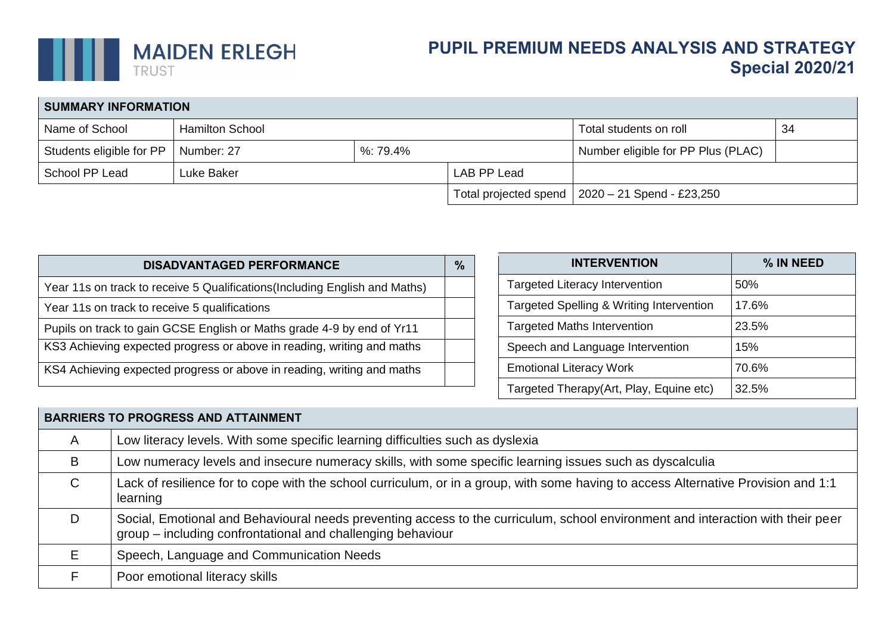

## **PUPIL PREMIUM NEEDS ANALYSIS AND STRATEGY Special 2020/21**

| <b>SUMMARY INFORMATION</b> |                        |                  |             |                                                         |  |  |  |  |
|----------------------------|------------------------|------------------|-------------|---------------------------------------------------------|--|--|--|--|
| Name of School             | <b>Hamilton School</b> |                  |             | Total students on roll<br>-34                           |  |  |  |  |
| Students eligible for PP   | Number: 27             | $\%$ : 79.4 $\%$ |             | Number eligible for PP Plus (PLAC)                      |  |  |  |  |
| School PP Lead             | Luke Baker             |                  | LAB PP Lead |                                                         |  |  |  |  |
|                            |                        |                  |             | Total projected spend $\vert$ 2020 – 21 Spend - £23,250 |  |  |  |  |

| <b>DISADVANTAGED PERFORMANCE</b>                                            | $\%$ |
|-----------------------------------------------------------------------------|------|
| Year 11s on track to receive 5 Qualifications (Including English and Maths) |      |
| Year 11s on track to receive 5 qualifications                               |      |
| Pupils on track to gain GCSE English or Maths grade 4-9 by end of Yr11      |      |
| KS3 Achieving expected progress or above in reading, writing and maths      |      |
| KS4 Achieving expected progress or above in reading, writing and maths      |      |

| <b>INTERVENTION</b>                      | % IN NEED |
|------------------------------------------|-----------|
| <b>Targeted Literacy Intervention</b>    | 50%       |
| Targeted Spelling & Writing Intervention | 17.6%     |
| <b>Targeted Maths Intervention</b>       | 23.5%     |
| Speech and Language Intervention         | 15%       |
| <b>Emotional Literacy Work</b>           | 70.6%     |
| Targeted Therapy(Art, Play, Equine etc)  | 32.5%     |

| <b>BARRIERS TO PROGRESS AND ATTAINMENT</b> |                                                                                                                                                                                                |  |  |  |  |  |
|--------------------------------------------|------------------------------------------------------------------------------------------------------------------------------------------------------------------------------------------------|--|--|--|--|--|
| A                                          | Low literacy levels. With some specific learning difficulties such as dyslexia                                                                                                                 |  |  |  |  |  |
| B                                          | Low numeracy levels and insecure numeracy skills, with some specific learning issues such as dyscalculia                                                                                       |  |  |  |  |  |
| $\mathsf{C}$                               | Lack of resilience for to cope with the school curriculum, or in a group, with some having to access Alternative Provision and 1:1<br>learning                                                 |  |  |  |  |  |
|                                            | Social, Emotional and Behavioural needs preventing access to the curriculum, school environment and interaction with their peer<br>group – including confrontational and challenging behaviour |  |  |  |  |  |
| F                                          | Speech, Language and Communication Needs                                                                                                                                                       |  |  |  |  |  |
|                                            | Poor emotional literacy skills                                                                                                                                                                 |  |  |  |  |  |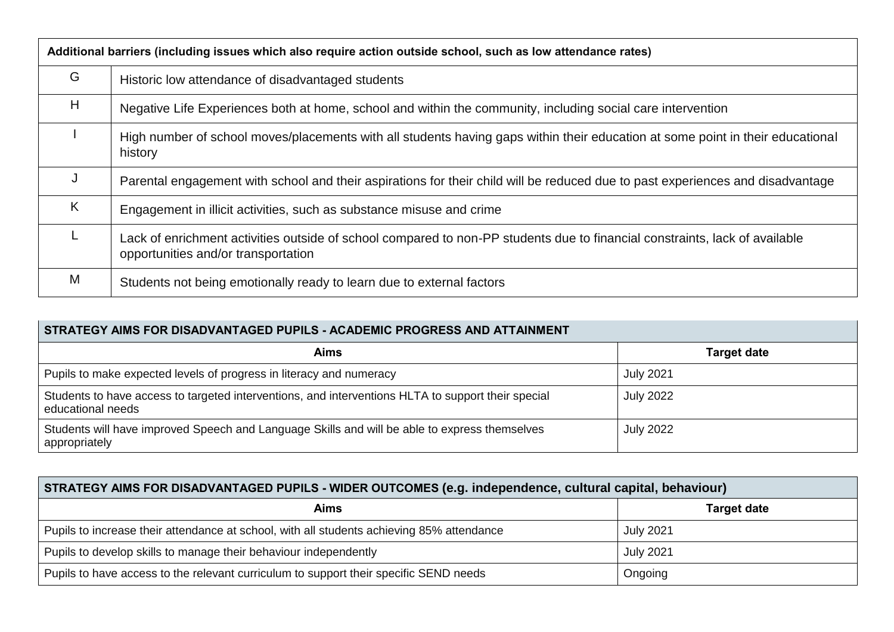|    | Additional barriers (including issues which also require action outside school, such as low attendance rates)                                                      |  |  |  |  |  |
|----|--------------------------------------------------------------------------------------------------------------------------------------------------------------------|--|--|--|--|--|
| G  | Historic low attendance of disadvantaged students                                                                                                                  |  |  |  |  |  |
| H  | Negative Life Experiences both at home, school and within the community, including social care intervention                                                        |  |  |  |  |  |
|    | High number of school moves/placements with all students having gaps within their education at some point in their educational<br>history                          |  |  |  |  |  |
| IJ | Parental engagement with school and their aspirations for their child will be reduced due to past experiences and disadvantage                                     |  |  |  |  |  |
| K  | Engagement in illicit activities, such as substance misuse and crime                                                                                               |  |  |  |  |  |
|    | Lack of enrichment activities outside of school compared to non-PP students due to financial constraints, lack of available<br>opportunities and/or transportation |  |  |  |  |  |
| M  | Students not being emotionally ready to learn due to external factors                                                                                              |  |  |  |  |  |

| STRATEGY AIMS FOR DISADVANTAGED PUPILS - ACADEMIC PROGRESS AND ATTAINMENT                                               |                  |  |  |  |  |  |
|-------------------------------------------------------------------------------------------------------------------------|------------------|--|--|--|--|--|
| <b>Aims</b><br><b>Target date</b>                                                                                       |                  |  |  |  |  |  |
| Pupils to make expected levels of progress in literacy and numeracy                                                     | <b>July 2021</b> |  |  |  |  |  |
| Students to have access to targeted interventions, and interventions HLTA to support their special<br>educational needs | <b>July 2022</b> |  |  |  |  |  |
| Students will have improved Speech and Language Skills and will be able to express themselves<br>appropriately          | <b>July 2022</b> |  |  |  |  |  |

## **STRATEGY AIMS FOR DISADVANTAGED PUPILS - WIDER OUTCOMES (e.g. independence, cultural capital, behaviour)**

| Aims                                                                                      | <b>Target date</b> |
|-------------------------------------------------------------------------------------------|--------------------|
| Pupils to increase their attendance at school, with all students achieving 85% attendance | <b>July 2021</b>   |
| Pupils to develop skills to manage their behaviour independently                          | <b>July 2021</b>   |
| Pupils to have access to the relevant curriculum to support their specific SEND needs     | Ongoing            |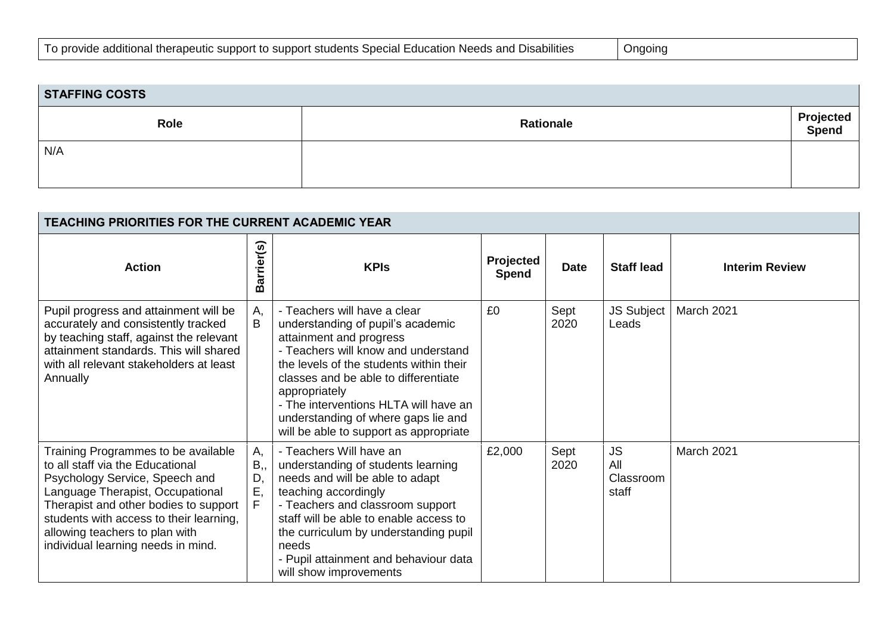| <b>STAFFING COSTS</b> |                  |                    |  |  |  |  |  |
|-----------------------|------------------|--------------------|--|--|--|--|--|
| Role                  | <b>Rationale</b> | Projected<br>Spend |  |  |  |  |  |
| N/A                   |                  |                    |  |  |  |  |  |

| <b>TEACHING PRIORITIES FOR THE CURRENT ACADEMIC YEAR</b>                                                                                                                                                                                                                                                  |                         |                                                                                                                                                                                                                                                                                                                                                                   |                           |              |                                        |                       |
|-----------------------------------------------------------------------------------------------------------------------------------------------------------------------------------------------------------------------------------------------------------------------------------------------------------|-------------------------|-------------------------------------------------------------------------------------------------------------------------------------------------------------------------------------------------------------------------------------------------------------------------------------------------------------------------------------------------------------------|---------------------------|--------------|----------------------------------------|-----------------------|
| <b>Action</b>                                                                                                                                                                                                                                                                                             | r(s)<br>rrier<br>ā<br>മ | <b>KPIs</b>                                                                                                                                                                                                                                                                                                                                                       | Projected<br><b>Spend</b> | <b>Date</b>  | <b>Staff lead</b>                      | <b>Interim Review</b> |
| Pupil progress and attainment will be<br>accurately and consistently tracked<br>by teaching staff, against the relevant<br>attainment standards. This will shared<br>with all relevant stakeholders at least<br>Annually                                                                                  | А,<br>В                 | - Teachers will have a clear<br>understanding of pupil's academic<br>attainment and progress<br>- Teachers will know and understand<br>the levels of the students within their<br>classes and be able to differentiate<br>appropriately<br>- The interventions HLTA will have an<br>understanding of where gaps lie and<br>will be able to support as appropriate | £0                        | Sept<br>2020 | <b>JS Subject</b><br>Leads             | March 2021            |
| Training Programmes to be available<br>to all staff via the Educational<br>Psychology Service, Speech and<br>Language Therapist, Occupational<br>Therapist and other bodies to support<br>students with access to their learning,<br>allowing teachers to plan with<br>individual learning needs in mind. | А,<br>B,,<br>D,<br>Ε,   | - Teachers Will have an<br>understanding of students learning<br>needs and will be able to adapt<br>teaching accordingly<br>- Teachers and classroom support<br>staff will be able to enable access to<br>the curriculum by understanding pupil<br>needs<br>- Pupil attainment and behaviour data<br>will show improvements                                       | £2,000                    | Sept<br>2020 | <b>JS</b><br>All<br>Classroom<br>staff | March 2021            |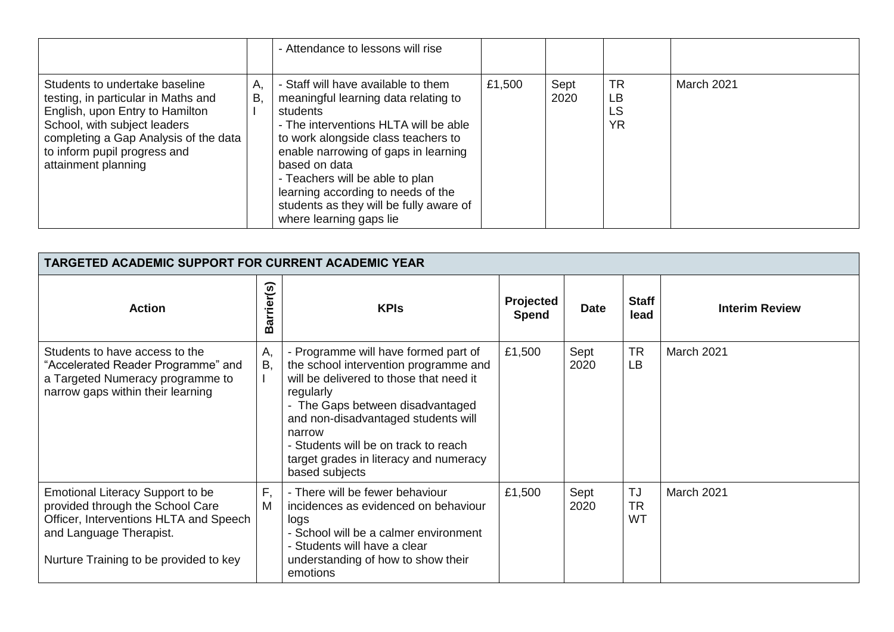|                                                                                                                                                                                                                                          |          | - Attendance to lessons will rise                                                                                                                                                                                                                                                                                                                                               |        |              |                                    |            |
|------------------------------------------------------------------------------------------------------------------------------------------------------------------------------------------------------------------------------------------|----------|---------------------------------------------------------------------------------------------------------------------------------------------------------------------------------------------------------------------------------------------------------------------------------------------------------------------------------------------------------------------------------|--------|--------------|------------------------------------|------------|
| Students to undertake baseline<br>testing, in particular in Maths and<br>English, upon Entry to Hamilton<br>School, with subject leaders<br>completing a Gap Analysis of the data<br>to inform pupil progress and<br>attainment planning | А.<br>Β, | - Staff will have available to them<br>meaningful learning data relating to<br>students<br>- The interventions HLTA will be able<br>to work alongside class teachers to<br>enable narrowing of gaps in learning<br>based on data<br>- Teachers will be able to plan<br>learning according to needs of the<br>students as they will be fully aware of<br>where learning gaps lie | £1,500 | Sept<br>2020 | <b>TR</b><br>LB<br>LS<br><b>YR</b> | March 2021 |

| <b>TARGETED ACADEMIC SUPPORT FOR CURRENT ACADEMIC YEAR</b>                                                                                                                          |                |                                                                                                                                                                                                                                                                                                                                |                    |              |                              |                       |  |
|-------------------------------------------------------------------------------------------------------------------------------------------------------------------------------------|----------------|--------------------------------------------------------------------------------------------------------------------------------------------------------------------------------------------------------------------------------------------------------------------------------------------------------------------------------|--------------------|--------------|------------------------------|-----------------------|--|
| <b>Action</b>                                                                                                                                                                       | arrier(s)<br>മ | <b>KPIs</b>                                                                                                                                                                                                                                                                                                                    | Projected<br>Spend | <b>Date</b>  | <b>Staff</b><br>lead         | <b>Interim Review</b> |  |
| Students to have access to the<br>"Accelerated Reader Programme" and<br>a Targeted Numeracy programme to<br>narrow gaps within their learning                                       | A,<br>Β,       | - Programme will have formed part of<br>the school intervention programme and<br>will be delivered to those that need it<br>regularly<br>- The Gaps between disadvantaged<br>and non-disadvantaged students will<br>narrow<br>- Students will be on track to reach<br>target grades in literacy and numeracy<br>based subjects | £1,500             | Sept<br>2020 | <b>TR</b><br>LB              | March 2021            |  |
| Emotional Literacy Support to be<br>provided through the School Care<br>Officer, Interventions HLTA and Speech<br>and Language Therapist.<br>Nurture Training to be provided to key | F,<br>M        | - There will be fewer behaviour<br>incidences as evidenced on behaviour<br>logs<br>- School will be a calmer environment<br>- Students will have a clear<br>understanding of how to show their<br>emotions                                                                                                                     | £1,500             | Sept<br>2020 | <b>TJ</b><br><b>TR</b><br>WT | March 2021            |  |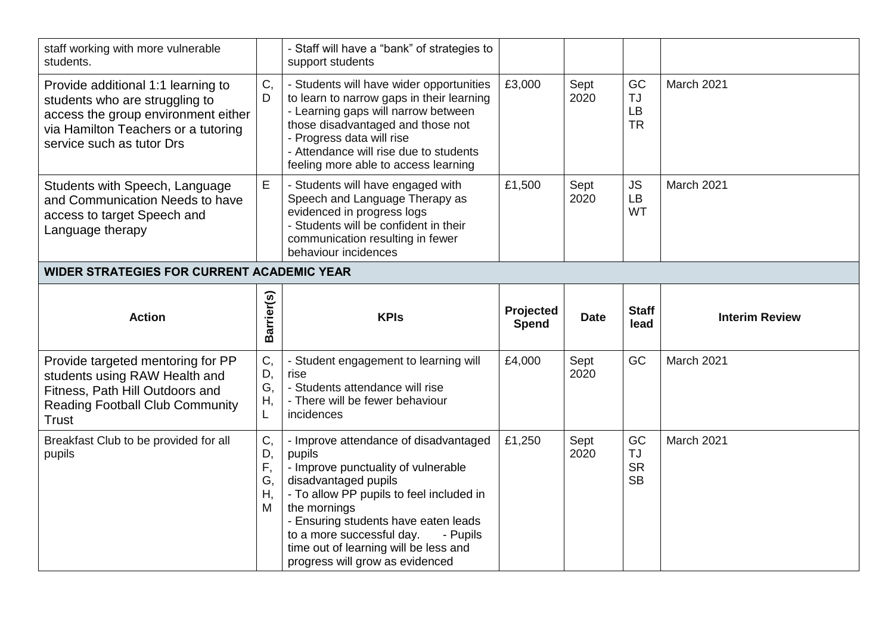| staff working with more vulnerable<br>students.                                                                                                                                 |                           | - Staff will have a "bank" of strategies to<br>support students                                                                                                                                                                                                                  |                           |              |                              |                       |
|---------------------------------------------------------------------------------------------------------------------------------------------------------------------------------|---------------------------|----------------------------------------------------------------------------------------------------------------------------------------------------------------------------------------------------------------------------------------------------------------------------------|---------------------------|--------------|------------------------------|-----------------------|
| Provide additional 1:1 learning to<br>students who are struggling to<br>access the group environment either<br>via Hamilton Teachers or a tutoring<br>service such as tutor Drs | C,<br>D                   | - Students will have wider opportunities<br>to learn to narrow gaps in their learning<br>- Learning gaps will narrow between<br>those disadvantaged and those not<br>- Progress data will rise<br>- Attendance will rise due to students<br>feeling more able to access learning | £3,000                    | Sept<br>2020 | GC<br>TJ<br>LB<br><b>TR</b>  | March 2021            |
| Students with Speech, Language<br>and Communication Needs to have<br>access to target Speech and<br>Language therapy                                                            | E                         | - Students will have engaged with<br>Speech and Language Therapy as<br>evidenced in progress logs<br>- Students will be confident in their<br>communication resulting in fewer<br>behaviour incidences                                                                           | £1,500                    | Sept<br>2020 | <b>JS</b><br><b>LB</b><br>WT | March 2021            |
| <b>WIDER STRATEGIES FOR CURRENT ACADEMIC YEAR</b>                                                                                                                               |                           |                                                                                                                                                                                                                                                                                  |                           |              |                              |                       |
|                                                                                                                                                                                 |                           |                                                                                                                                                                                                                                                                                  |                           |              |                              |                       |
| <b>Action</b>                                                                                                                                                                   | Barrier(s)                | <b>KPIs</b>                                                                                                                                                                                                                                                                      | Projected<br><b>Spend</b> | <b>Date</b>  | <b>Staff</b><br>lead         | <b>Interim Review</b> |
| Provide targeted mentoring for PP<br>students using RAW Health and<br>Fitness, Path Hill Outdoors and<br><b>Reading Football Club Community</b><br><b>Trust</b>                 | C,<br>D,<br>G,<br>Η,<br>L | - Student engagement to learning will<br>rise<br>- Students attendance will rise<br>- There will be fewer behaviour<br>incidences                                                                                                                                                | £4,000                    | Sept<br>2020 | GC                           | March 2021            |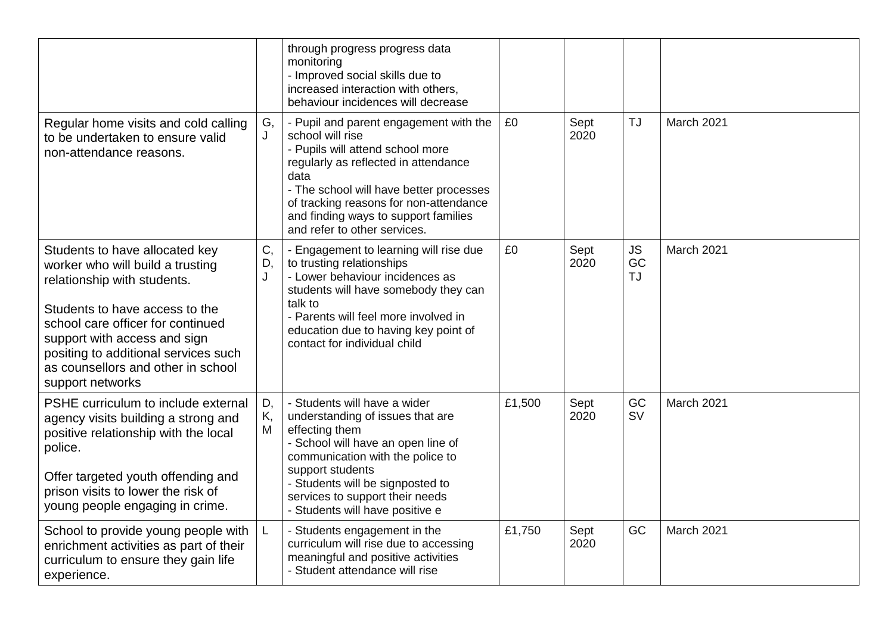|                                                                                                                                                                                                                                                                                                            |               | through progress progress data<br>monitoring<br>- Improved social skills due to<br>increased interaction with others,<br>behaviour incidences will decrease                                                                                                                                                 |        |              |                       |            |
|------------------------------------------------------------------------------------------------------------------------------------------------------------------------------------------------------------------------------------------------------------------------------------------------------------|---------------|-------------------------------------------------------------------------------------------------------------------------------------------------------------------------------------------------------------------------------------------------------------------------------------------------------------|--------|--------------|-----------------------|------------|
| Regular home visits and cold calling<br>to be undertaken to ensure valid<br>non-attendance reasons.                                                                                                                                                                                                        | G,<br>J       | - Pupil and parent engagement with the<br>school will rise<br>- Pupils will attend school more<br>regularly as reflected in attendance<br>data<br>- The school will have better processes<br>of tracking reasons for non-attendance<br>and finding ways to support families<br>and refer to other services. | £0     | Sept<br>2020 | TJ                    | March 2021 |
| Students to have allocated key<br>worker who will build a trusting<br>relationship with students.<br>Students to have access to the<br>school care officer for continued<br>support with access and sign<br>positing to additional services such<br>as counsellors and other in school<br>support networks | C,<br>D,<br>J | - Engagement to learning will rise due<br>to trusting relationships<br>- Lower behaviour incidences as<br>students will have somebody they can<br>talk to<br>- Parents will feel more involved in<br>education due to having key point of<br>contact for individual child                                   | £0     | Sept<br>2020 | JS<br>GC<br><b>TJ</b> | March 2021 |
| PSHE curriculum to include external<br>agency visits building a strong and<br>positive relationship with the local<br>police.<br>Offer targeted youth offending and<br>prison visits to lower the risk of<br>young people engaging in crime.                                                               | D,<br>Κ,<br>M | - Students will have a wider<br>understanding of issues that are<br>effecting them<br>- School will have an open line of<br>communication with the police to<br>support students<br>- Students will be signposted to<br>services to support their needs<br>- Students will have positive e                  | £1,500 | Sept<br>2020 | GC<br><b>SV</b>       | March 2021 |
| School to provide young people with<br>enrichment activities as part of their<br>curriculum to ensure they gain life<br>experience.                                                                                                                                                                        | L             | - Students engagement in the<br>curriculum will rise due to accessing<br>meaningful and positive activities<br>- Student attendance will rise                                                                                                                                                               | £1,750 | Sept<br>2020 | GC                    | March 2021 |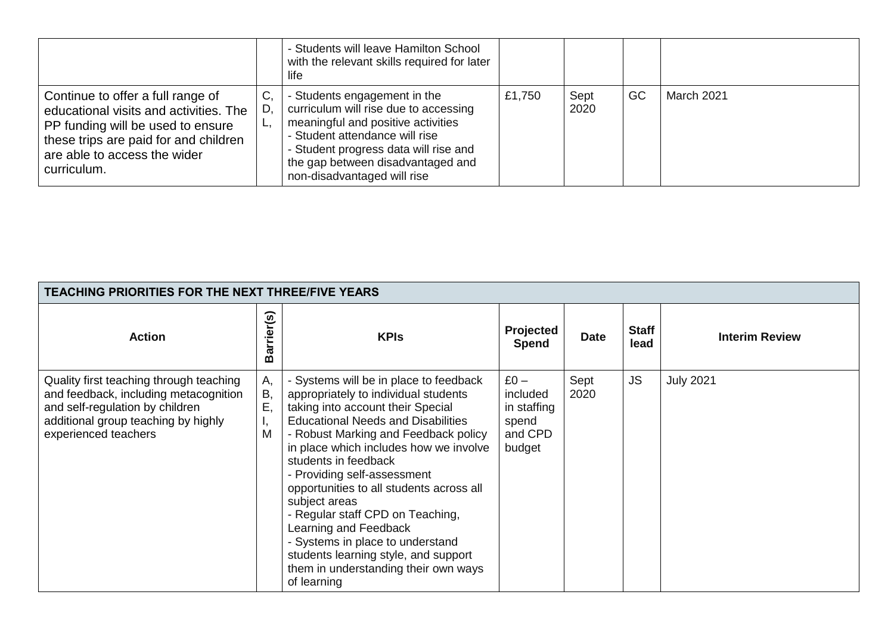|                                                                                                                                                                                                          |                | - Students will leave Hamilton School<br>with the relevant skills required for later<br>life                                                                                                                                                               |        |              |    |                   |
|----------------------------------------------------------------------------------------------------------------------------------------------------------------------------------------------------------|----------------|------------------------------------------------------------------------------------------------------------------------------------------------------------------------------------------------------------------------------------------------------------|--------|--------------|----|-------------------|
| Continue to offer a full range of<br>educational visits and activities. The<br>PP funding will be used to ensure<br>these trips are paid for and children<br>are able to access the wider<br>curriculum. | C,<br>D.<br>ъ, | - Students engagement in the<br>curriculum will rise due to accessing<br>meaningful and positive activities<br>- Student attendance will rise<br>- Student progress data will rise and<br>the gap between disadvantaged and<br>non-disadvantaged will rise | £1,750 | Sept<br>2020 | GC | <b>March 2021</b> |

| <b>TEACHING PRIORITIES FOR THE NEXT THREE/FIVE YEARS</b>                                                                                                                           |                           |                                                                                                                                                                                                                                                                                                                                                                                                                                                                                                                                                                        |                                                                 |              |                      |                       |
|------------------------------------------------------------------------------------------------------------------------------------------------------------------------------------|---------------------------|------------------------------------------------------------------------------------------------------------------------------------------------------------------------------------------------------------------------------------------------------------------------------------------------------------------------------------------------------------------------------------------------------------------------------------------------------------------------------------------------------------------------------------------------------------------------|-----------------------------------------------------------------|--------------|----------------------|-----------------------|
| <b>Action</b>                                                                                                                                                                      | r(s)<br>arrier<br>മ       | <b>KPIs</b>                                                                                                                                                                                                                                                                                                                                                                                                                                                                                                                                                            | Projected<br>Spend                                              | <b>Date</b>  | <b>Staff</b><br>lead | <b>Interim Review</b> |
| Quality first teaching through teaching<br>and feedback, including metacognition<br>and self-regulation by children<br>additional group teaching by highly<br>experienced teachers | Α,<br>В,<br>Ε,<br>л,<br>M | - Systems will be in place to feedback<br>appropriately to individual students<br>taking into account their Special<br><b>Educational Needs and Disabilities</b><br>- Robust Marking and Feedback policy<br>in place which includes how we involve<br>students in feedback<br>- Providing self-assessment<br>opportunities to all students across all<br>subject areas<br>- Regular staff CPD on Teaching,<br>Learning and Feedback<br>- Systems in place to understand<br>students learning style, and support<br>them in understanding their own ways<br>of learning | $£0 -$<br>included<br>in staffing<br>spend<br>and CPD<br>budget | Sept<br>2020 | <b>JS</b>            | <b>July 2021</b>      |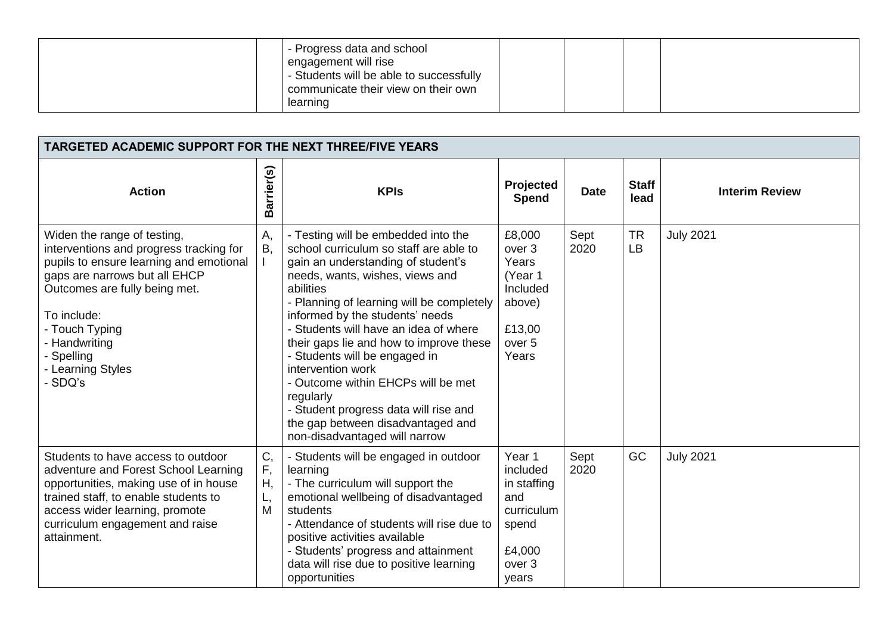| - Progress data and school<br>engagement will rise<br>- Students will be able to successfully<br>communicate their view on their own<br>learning |  |  |  |
|--------------------------------------------------------------------------------------------------------------------------------------------------|--|--|--|
|--------------------------------------------------------------------------------------------------------------------------------------------------|--|--|--|

| <b>TARGETED ACADEMIC SUPPORT FOR THE NEXT THREE/FIVE YEARS</b>                                                                                                                                                                                                                      |                           |                                                                                                                                                                                                                                                                                                                                                                                                                                                                                                                                                                 |                                                                                                               |              |                        |                       |
|-------------------------------------------------------------------------------------------------------------------------------------------------------------------------------------------------------------------------------------------------------------------------------------|---------------------------|-----------------------------------------------------------------------------------------------------------------------------------------------------------------------------------------------------------------------------------------------------------------------------------------------------------------------------------------------------------------------------------------------------------------------------------------------------------------------------------------------------------------------------------------------------------------|---------------------------------------------------------------------------------------------------------------|--------------|------------------------|-----------------------|
| <b>Action</b>                                                                                                                                                                                                                                                                       | sarrier(s)<br>മ           | <b>KPIs</b>                                                                                                                                                                                                                                                                                                                                                                                                                                                                                                                                                     | Projected<br>Spend                                                                                            | <b>Date</b>  | <b>Staff</b><br>lead   | <b>Interim Review</b> |
| Widen the range of testing,<br>interventions and progress tracking for<br>pupils to ensure learning and emotional<br>gaps are narrows but all EHCP<br>Outcomes are fully being met.<br>To include:<br>- Touch Typing<br>- Handwriting<br>- Spelling<br>- Learning Styles<br>- SDQ's | A,<br><b>B.</b>           | - Testing will be embedded into the<br>school curriculum so staff are able to<br>gain an understanding of student's<br>needs, wants, wishes, views and<br>abilities<br>- Planning of learning will be completely<br>informed by the students' needs<br>- Students will have an idea of where<br>their gaps lie and how to improve these<br>- Students will be engaged in<br>intervention work<br>- Outcome within EHCPs will be met<br>regularly<br>- Student progress data will rise and<br>the gap between disadvantaged and<br>non-disadvantaged will narrow | £8,000<br>over <sub>3</sub><br>Years<br>(Year 1<br>Included<br>above)<br>£13,00<br>over <sub>5</sub><br>Years | Sept<br>2020 | <b>TR</b><br><b>LB</b> | <b>July 2021</b>      |
| Students to have access to outdoor<br>adventure and Forest School Learning<br>opportunities, making use of in house<br>trained staff, to enable students to<br>access wider learning, promote<br>curriculum engagement and raise<br>attainment.                                     | C,<br>F,<br>Η,<br>L,<br>M | - Students will be engaged in outdoor<br>learning<br>- The curriculum will support the<br>emotional wellbeing of disadvantaged<br>students<br>- Attendance of students will rise due to<br>positive activities available<br>- Students' progress and attainment<br>data will rise due to positive learning<br>opportunities                                                                                                                                                                                                                                     | Year 1<br>included<br>in staffing<br>and<br>curriculum<br>spend<br>£4,000<br>over <sub>3</sub><br>years       | Sept<br>2020 | GC                     | <b>July 2021</b>      |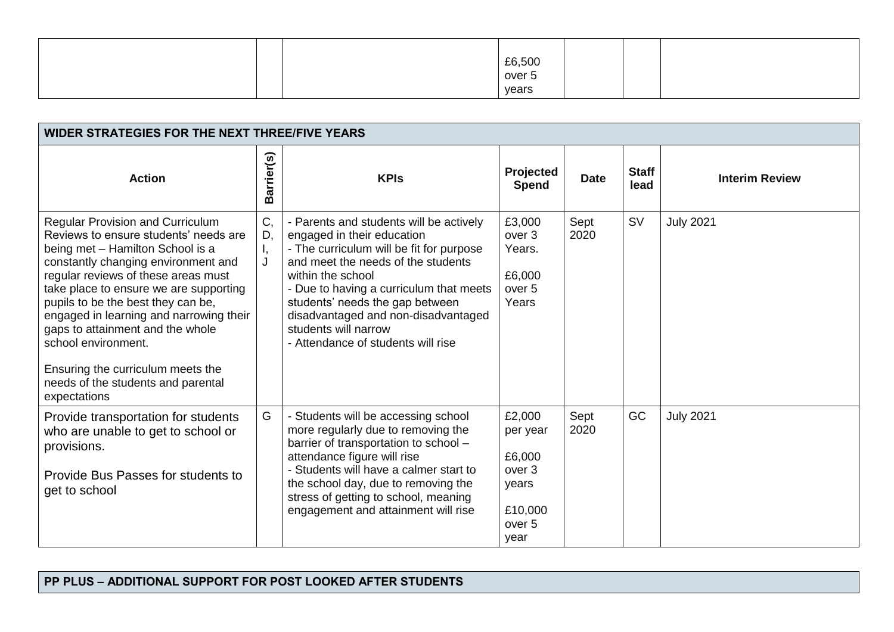|  | £6,500<br>over 5 |  |  |
|--|------------------|--|--|
|  |                  |  |  |
|  | years            |  |  |

| <b>WIDER STRATEGIES FOR THE NEXT THREE/FIVE YEARS</b>                                                                                                                                                                                                                                                                                                                                                                                                                        |                     |                                                                                                                                                                                                                                                                                                                                                                 |                                                                                                    |              |                      |                       |
|------------------------------------------------------------------------------------------------------------------------------------------------------------------------------------------------------------------------------------------------------------------------------------------------------------------------------------------------------------------------------------------------------------------------------------------------------------------------------|---------------------|-----------------------------------------------------------------------------------------------------------------------------------------------------------------------------------------------------------------------------------------------------------------------------------------------------------------------------------------------------------------|----------------------------------------------------------------------------------------------------|--------------|----------------------|-----------------------|
| <b>Action</b>                                                                                                                                                                                                                                                                                                                                                                                                                                                                | Barrier(s)          | <b>KPIs</b>                                                                                                                                                                                                                                                                                                                                                     | Projected<br><b>Spend</b>                                                                          | <b>Date</b>  | <b>Staff</b><br>lead | <b>Interim Review</b> |
| Regular Provision and Curriculum<br>Reviews to ensure students' needs are<br>being met - Hamilton School is a<br>constantly changing environment and<br>regular reviews of these areas must<br>take place to ensure we are supporting<br>pupils to be the best they can be,<br>engaged in learning and narrowing their<br>gaps to attainment and the whole<br>school environment.<br>Ensuring the curriculum meets the<br>needs of the students and parental<br>expectations | C,<br>D,<br>Ι,<br>J | - Parents and students will be actively<br>engaged in their education<br>- The curriculum will be fit for purpose<br>and meet the needs of the students<br>within the school<br>- Due to having a curriculum that meets<br>students' needs the gap between<br>disadvantaged and non-disadvantaged<br>students will narrow<br>- Attendance of students will rise | £3,000<br>over <sub>3</sub><br>Years.<br>£6,000<br>over <sub>5</sub><br>Years                      | Sept<br>2020 | <b>SV</b>            | <b>July 2021</b>      |
| Provide transportation for students<br>who are unable to get to school or<br>provisions.<br>Provide Bus Passes for students to<br>get to school                                                                                                                                                                                                                                                                                                                              | G                   | - Students will be accessing school<br>more regularly due to removing the<br>barrier of transportation to school -<br>attendance figure will rise<br>- Students will have a calmer start to<br>the school day, due to removing the<br>stress of getting to school, meaning<br>engagement and attainment will rise                                               | £2,000<br>per year<br>£6,000<br>over <sub>3</sub><br>years<br>£10,000<br>over <sub>5</sub><br>year | Sept<br>2020 | GC                   | <b>July 2021</b>      |

## **PP PLUS – ADDITIONAL SUPPORT FOR POST LOOKED AFTER STUDENTS**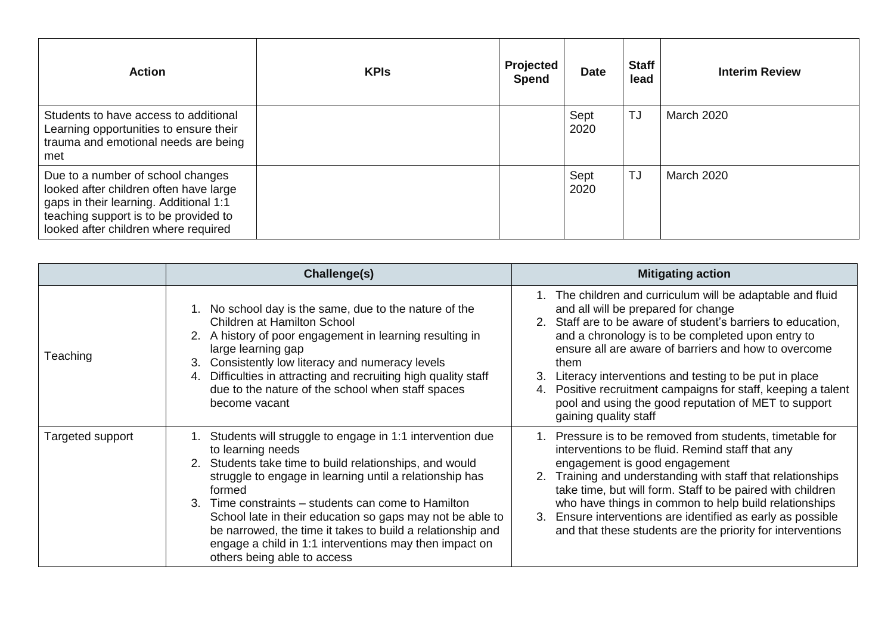| <b>Action</b>                                                                                                                                                                                          | <b>KPIs</b> | Projected<br>Spend | <b>Date</b>  | <b>Staff</b><br>lead | <b>Interim Review</b> |
|--------------------------------------------------------------------------------------------------------------------------------------------------------------------------------------------------------|-------------|--------------------|--------------|----------------------|-----------------------|
| Students to have access to additional<br>Learning opportunities to ensure their<br>trauma and emotional needs are being<br>met                                                                         |             |                    | Sept<br>2020 | TJ                   | March 2020            |
| Due to a number of school changes<br>looked after children often have large<br>gaps in their learning. Additional 1:1<br>teaching support is to be provided to<br>looked after children where required |             |                    | Sept<br>2020 | TJ                   | <b>March 2020</b>     |

|                  | <b>Challenge(s)</b>                                                                                                                                                                                                                                                                                                                                                                                                                                                                                       | <b>Mitigating action</b>                                                                                                                                                                                                                                                                                                                                                                                                                                                                                |
|------------------|-----------------------------------------------------------------------------------------------------------------------------------------------------------------------------------------------------------------------------------------------------------------------------------------------------------------------------------------------------------------------------------------------------------------------------------------------------------------------------------------------------------|---------------------------------------------------------------------------------------------------------------------------------------------------------------------------------------------------------------------------------------------------------------------------------------------------------------------------------------------------------------------------------------------------------------------------------------------------------------------------------------------------------|
| Teaching         | 1. No school day is the same, due to the nature of the<br><b>Children at Hamilton School</b><br>2. A history of poor engagement in learning resulting in<br>large learning gap<br>Consistently low literacy and numeracy levels<br>3.<br>Difficulties in attracting and recruiting high quality staff<br>4.<br>due to the nature of the school when staff spaces<br>become vacant                                                                                                                         | 1. The children and curriculum will be adaptable and fluid<br>and all will be prepared for change<br>2. Staff are to be aware of student's barriers to education,<br>and a chronology is to be completed upon entry to<br>ensure all are aware of barriers and how to overcome<br>them<br>3. Literacy interventions and testing to be put in place<br>Positive recruitment campaigns for staff, keeping a talent<br>4.<br>pool and using the good reputation of MET to support<br>gaining quality staff |
| Targeted support | 1. Students will struggle to engage in 1:1 intervention due<br>to learning needs<br>2. Students take time to build relationships, and would<br>struggle to engage in learning until a relationship has<br>formed<br>Time constraints – students can come to Hamilton<br>$\mathcal{R}$<br>School late in their education so gaps may not be able to<br>be narrowed, the time it takes to build a relationship and<br>engage a child in 1:1 interventions may then impact on<br>others being able to access | 1. Pressure is to be removed from students, timetable for<br>interventions to be fluid. Remind staff that any<br>engagement is good engagement<br>Training and understanding with staff that relationships<br>2.<br>take time, but will form. Staff to be paired with children<br>who have things in common to help build relationships<br>3. Ensure interventions are identified as early as possible<br>and that these students are the priority for interventions                                    |